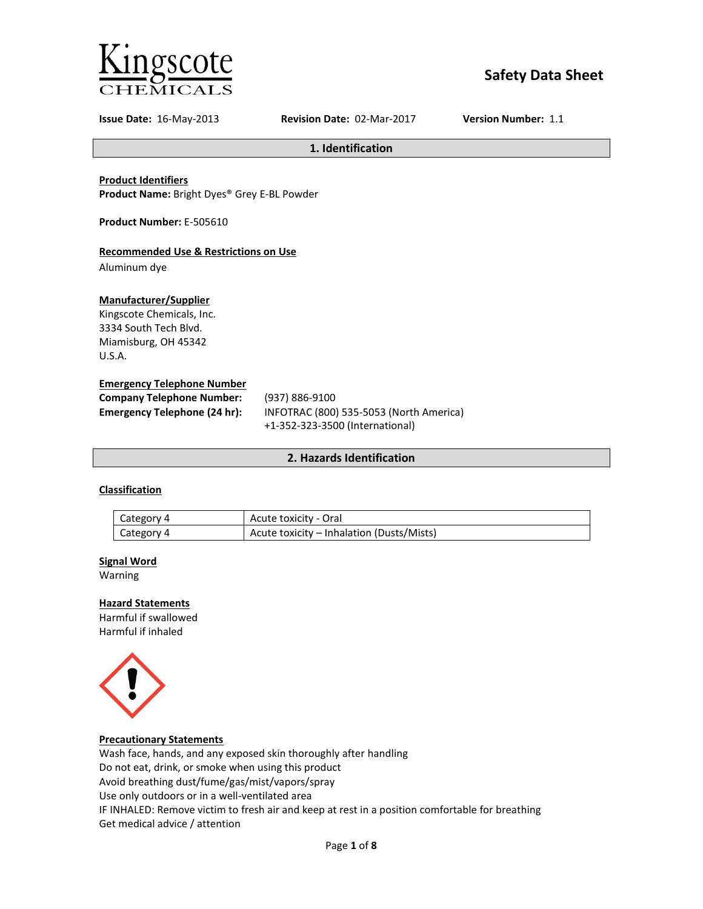

# **Safety Data Sheet**

**Issue Date:** 16-May-2013 **Revision Date:** 02-Mar-2017 **Version Number:** 1.1

**1. Identification**

**Product Identifiers**

**Product Name:** Bright Dyes® Grey E-BL Powder

**Product Number:** E-505610

## **Recommended Use & Restrictions on Use**

Aluminum dye

## **Manufacturer/Supplier**

Kingscote Chemicals, Inc. 3334 South Tech Blvd. Miamisburg, OH 45342 U.S.A.

## **Emergency Telephone Number**

| <b>Company Telephone Number:</b> | (937) 886-9100                          |
|----------------------------------|-----------------------------------------|
| Emergency Telephone (24 hr):     | INFOTRAC (800) 535-5053 (North America) |
|                                  | +1-352-323-3500 (International)         |

## **2. Hazards Identification**

## **Classification**

| Category 4 | Acute toxicity - Oral                     |
|------------|-------------------------------------------|
| Category 4 | Acute toxicity – Inhalation (Dusts/Mists) |

#### **Signal Word**

Warning

## **Hazard Statements**

Harmful if swallowed Harmful if inhaled



### **Precautionary Statements**

Wash face, hands, and any exposed skin thoroughly after handling Do not eat, drink, or smoke when using this product Avoid breathing dust/fume/gas/mist/vapors/spray Use only outdoors or in a well-ventilated area IF INHALED: Remove victim to fresh air and keep at rest in a position comfortable for breathing Get medical advice / attention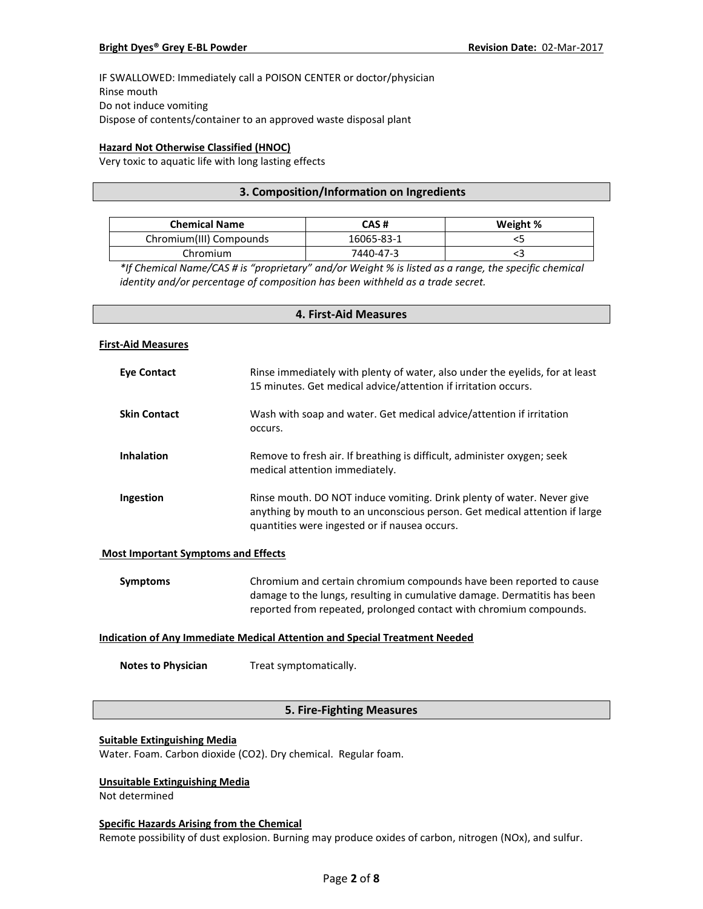IF SWALLOWED: Immediately call a POISON CENTER or doctor/physician Rinse mouth Do not induce vomiting Dispose of contents/container to an approved waste disposal plant

## **Hazard Not Otherwise Classified (HNOC)**

Very toxic to aquatic life with long lasting effects

## **3. Composition/Information on Ingredients**

| <b>Chemical Name</b>    | CAS #      | Weight % |
|-------------------------|------------|----------|
| Chromium(III) Compounds | 16065-83-1 |          |
| Chromium                | 7440-47-3  |          |

*\*If Chemical Name/CAS # is "proprietary" and/or Weight % is listed as a range, the specific chemical identity and/or percentage of composition has been withheld as a trade secret.*

## **4. First-Aid Measures**

#### **First-Aid Measures**

| Eye Contact         | Rinse immediately with plenty of water, also under the eyelids, for at least<br>15 minutes. Get medical advice/attention if irritation occurs.                                                        |
|---------------------|-------------------------------------------------------------------------------------------------------------------------------------------------------------------------------------------------------|
| <b>Skin Contact</b> | Wash with soap and water. Get medical advice/attention if irritation<br>occurs.                                                                                                                       |
| <b>Inhalation</b>   | Remove to fresh air. If breathing is difficult, administer oxygen; seek<br>medical attention immediately.                                                                                             |
| Ingestion           | Rinse mouth. DO NOT induce vomiting. Drink plenty of water. Never give<br>anything by mouth to an unconscious person. Get medical attention if large<br>quantities were ingested or if nausea occurs. |

#### **Most Important Symptoms and Effects**

| Symptoms | Chromium and certain chromium compounds have been reported to cause      |
|----------|--------------------------------------------------------------------------|
|          | damage to the lungs, resulting in cumulative damage. Dermatitis has been |
|          | reported from repeated, prolonged contact with chromium compounds.       |

## **Indication of Any Immediate Medical Attention and Special Treatment Needed**

**Notes to Physician** Treat symptomatically.

## **5. Fire-Fighting Measures**

#### **Suitable Extinguishing Media**

Water. Foam. Carbon dioxide (CO2). Dry chemical. Regular foam.

## **Unsuitable Extinguishing Media**

Not determined

#### **Specific Hazards Arising from the Chemical**

Remote possibility of dust explosion. Burning may produce oxides of carbon, nitrogen (NOx), and sulfur.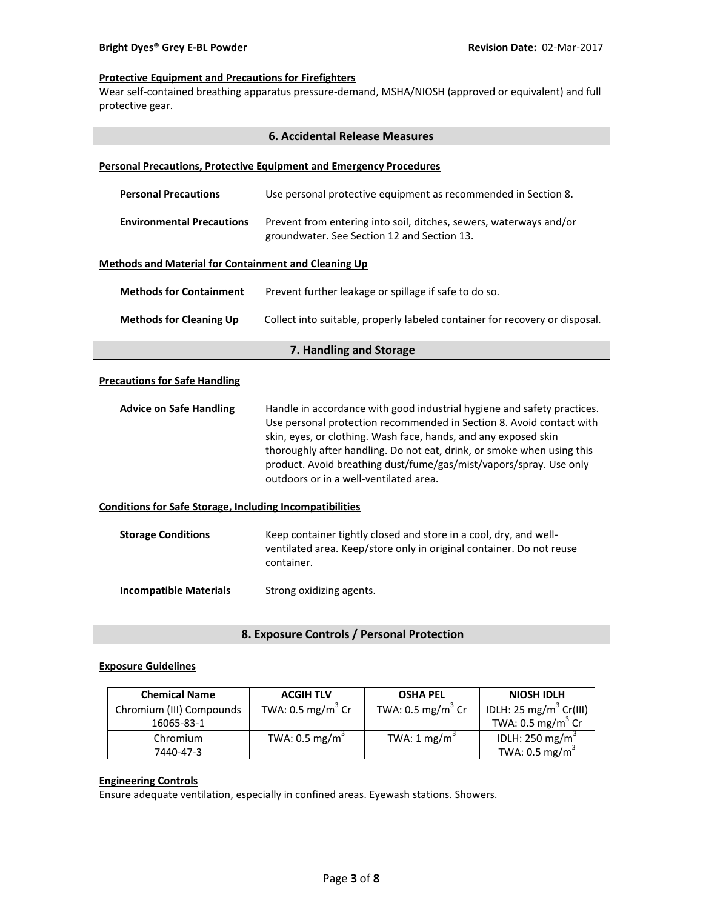## **Protective Equipment and Precautions for Firefighters**

Wear self-contained breathing apparatus pressure-demand, MSHA/NIOSH (approved or equivalent) and full protective gear.

| <b>6. Accidental Release Measures</b>                           |                                                                                                                                                                                                                                                                                                                                                                                                              |  |  |
|-----------------------------------------------------------------|--------------------------------------------------------------------------------------------------------------------------------------------------------------------------------------------------------------------------------------------------------------------------------------------------------------------------------------------------------------------------------------------------------------|--|--|
|                                                                 | <b>Personal Precautions, Protective Equipment and Emergency Procedures</b>                                                                                                                                                                                                                                                                                                                                   |  |  |
| <b>Personal Precautions</b>                                     | Use personal protective equipment as recommended in Section 8.                                                                                                                                                                                                                                                                                                                                               |  |  |
| <b>Environmental Precautions</b>                                | Prevent from entering into soil, ditches, sewers, waterways and/or<br>groundwater. See Section 12 and Section 13.                                                                                                                                                                                                                                                                                            |  |  |
| <b>Methods and Material for Containment and Cleaning Up</b>     |                                                                                                                                                                                                                                                                                                                                                                                                              |  |  |
| <b>Methods for Containment</b>                                  | Prevent further leakage or spillage if safe to do so.                                                                                                                                                                                                                                                                                                                                                        |  |  |
| <b>Methods for Cleaning Up</b>                                  | Collect into suitable, properly labeled container for recovery or disposal.                                                                                                                                                                                                                                                                                                                                  |  |  |
| 7. Handling and Storage                                         |                                                                                                                                                                                                                                                                                                                                                                                                              |  |  |
| <b>Precautions for Safe Handling</b>                            |                                                                                                                                                                                                                                                                                                                                                                                                              |  |  |
| <b>Advice on Safe Handling</b>                                  | Handle in accordance with good industrial hygiene and safety practices.<br>Use personal protection recommended in Section 8. Avoid contact with<br>skin, eyes, or clothing. Wash face, hands, and any exposed skin<br>thoroughly after handling. Do not eat, drink, or smoke when using this<br>product. Avoid breathing dust/fume/gas/mist/vapors/spray. Use only<br>outdoors or in a well-ventilated area. |  |  |
| <b>Conditions for Safe Storage, Including Incompatibilities</b> |                                                                                                                                                                                                                                                                                                                                                                                                              |  |  |
| <b>Storage Conditions</b>                                       | Keep container tightly closed and store in a cool, dry, and well-<br>ventilated area. Keep/store only in original container. Do not reuse<br>container.                                                                                                                                                                                                                                                      |  |  |
| <b>Incompatible Materials</b>                                   | Strong oxidizing agents.                                                                                                                                                                                                                                                                                                                                                                                     |  |  |

**8. Exposure Controls / Personal Protection**

## **Exposure Guidelines**

| <b>Chemical Name</b>     | <b>ACGIH TLV</b>             | <b>OSHA PEL</b>              | <b>NIOSH IDLH</b>                  |
|--------------------------|------------------------------|------------------------------|------------------------------------|
| Chromium (III) Compounds | TWA: $0.5 \text{ mg/m}^3$ Cr | TWA: $0.5 \text{ mg/m}^3$ Cr | IDLH: 25 mg/m <sup>3</sup> Cr(III) |
| 16065-83-1               |                              |                              | TWA: 0.5 mg/m <sup>3</sup> Cr      |
| Chromium                 | TWA: 0.5 mg/m <sup>3</sup>   | TWA: $1 \text{ mg/m}^3$      | IDLH: 250 mg/m <sup>3</sup>        |
| 7440-47-3                |                              |                              | TWA: $0.5 \text{ mg/m}^3$          |

## **Engineering Controls**

Ensure adequate ventilation, especially in confined areas. Eyewash stations. Showers.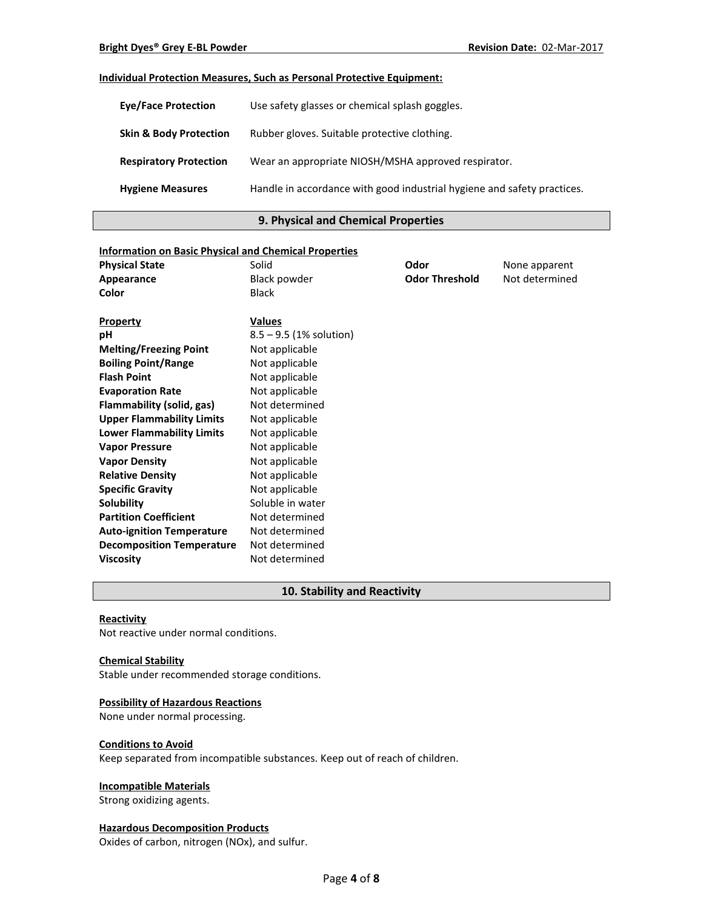## **Individual Protection Measures, Such as Personal Protective Equipment:**

| <b>Eye/Face Protection</b>        | Use safety glasses or chemical splash goggles.                          |
|-----------------------------------|-------------------------------------------------------------------------|
| <b>Skin &amp; Body Protection</b> | Rubber gloves. Suitable protective clothing.                            |
| <b>Respiratory Protection</b>     | Wear an appropriate NIOSH/MSHA approved respirator.                     |
| <b>Hygiene Measures</b>           | Handle in accordance with good industrial hygiene and safety practices. |

## **9. Physical and Chemical Properties**

| <b>Information on Basic Physical and Chemical Properties</b> |                           |                       |                |
|--------------------------------------------------------------|---------------------------|-----------------------|----------------|
| <b>Physical State</b>                                        | Solid                     | Odor                  | None apparent  |
| Appearance                                                   | <b>Black powder</b>       | <b>Odor Threshold</b> | Not determined |
| Color                                                        | <b>Black</b>              |                       |                |
|                                                              |                           |                       |                |
| Property                                                     | <b>Values</b>             |                       |                |
| рH                                                           | $8.5 - 9.5$ (1% solution) |                       |                |
| <b>Melting/Freezing Point</b>                                | Not applicable            |                       |                |
| <b>Boiling Point/Range</b>                                   | Not applicable            |                       |                |
| <b>Flash Point</b>                                           | Not applicable            |                       |                |
| <b>Evaporation Rate</b>                                      | Not applicable            |                       |                |
| Flammability (solid, gas)                                    | Not determined            |                       |                |
| <b>Upper Flammability Limits</b>                             | Not applicable            |                       |                |
| <b>Lower Flammability Limits</b>                             | Not applicable            |                       |                |
| <b>Vapor Pressure</b>                                        | Not applicable            |                       |                |
| <b>Vapor Density</b>                                         | Not applicable            |                       |                |
| <b>Relative Density</b>                                      | Not applicable            |                       |                |
| <b>Specific Gravity</b>                                      | Not applicable            |                       |                |
| Solubility                                                   | Soluble in water          |                       |                |
| <b>Partition Coefficient</b>                                 | Not determined            |                       |                |
| <b>Auto-ignition Temperature</b>                             | Not determined            |                       |                |
| <b>Decomposition Temperature</b>                             | Not determined            |                       |                |
| <b>Viscosity</b>                                             | Not determined            |                       |                |

## **10. Stability and Reactivity**

## **Reactivity**

Not reactive under normal conditions.

#### **Chemical Stability**

Stable under recommended storage conditions.

#### **Possibility of Hazardous Reactions**

None under normal processing.

#### **Conditions to Avoid**

Keep separated from incompatible substances. Keep out of reach of children.

## **Incompatible Materials**

Strong oxidizing agents.

## **Hazardous Decomposition Products**

Oxides of carbon, nitrogen (NOx), and sulfur.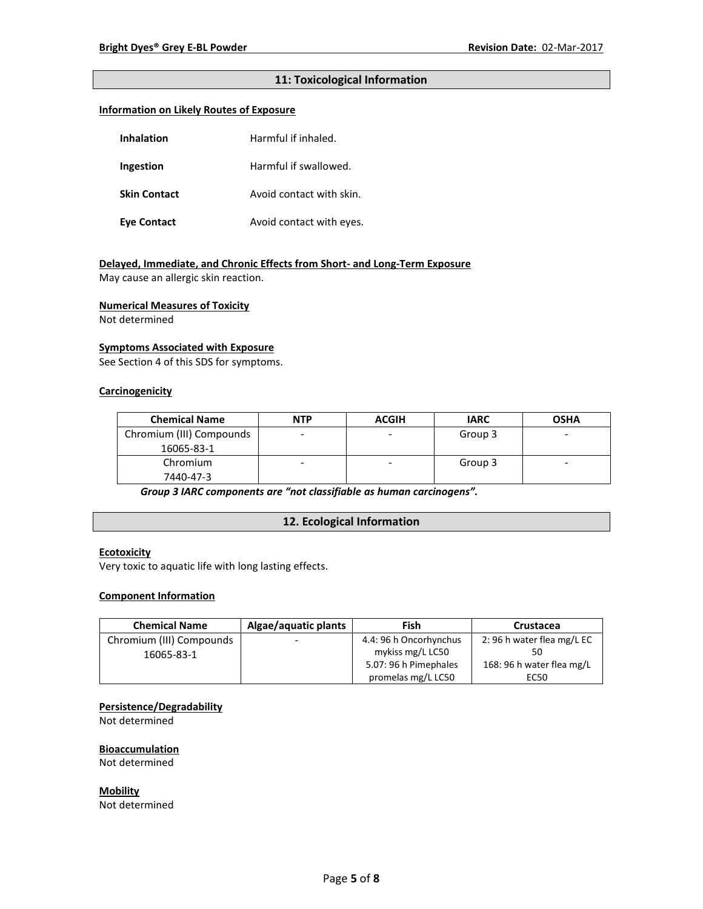## **11: Toxicological Information**

## **Information on Likely Routes of Exposure**

| Inhalation          | Harmful if inhaled.      |  |
|---------------------|--------------------------|--|
| Ingestion           | Harmful if swallowed.    |  |
| <b>Skin Contact</b> | Avoid contact with skin. |  |
| <b>Eye Contact</b>  | Avoid contact with eyes. |  |

## **Delayed, Immediate, and Chronic Effects from Short- and Long-Term Exposure**

May cause an allergic skin reaction.

#### **Numerical Measures of Toxicity**

Not determined

#### **Symptoms Associated with Exposure**

See Section 4 of this SDS for symptoms.

## **Carcinogenicity**

| <b>Chemical Name</b>     | <b>NTP</b> | <b>ACGIH</b> | <b>IARC</b> | <b>OSHA</b>              |
|--------------------------|------------|--------------|-------------|--------------------------|
| Chromium (III) Compounds |            |              | Group 3     | -                        |
| 16065-83-1               |            |              |             |                          |
| Chromium                 |            | ۰            | Group 3     | $\overline{\phantom{0}}$ |
| 7440-47-3                |            |              |             |                          |

*Group 3 IARC components are "not classifiable as human carcinogens".*

## **12. Ecological Information**

## **Ecotoxicity**

Very toxic to aquatic life with long lasting effects.

### **Component Information**

| <b>Chemical Name</b>     | Algae/aquatic plants     | Fish                   | Crustacea                 |
|--------------------------|--------------------------|------------------------|---------------------------|
| Chromium (III) Compounds | $\overline{\phantom{0}}$ | 4.4: 96 h Oncorhynchus | 2:96 h water flea mg/L EC |
| 16065-83-1               |                          | mykiss mg/L LC50       |                           |
|                          |                          | 5.07: 96 h Pimephales  | 168: 96 h water flea mg/L |
|                          |                          | promelas mg/L LC50     | EC50                      |

## **Persistence/Degradability**

Not determined

#### **Bioaccumulation**

Not determined

**Mobility** Not determined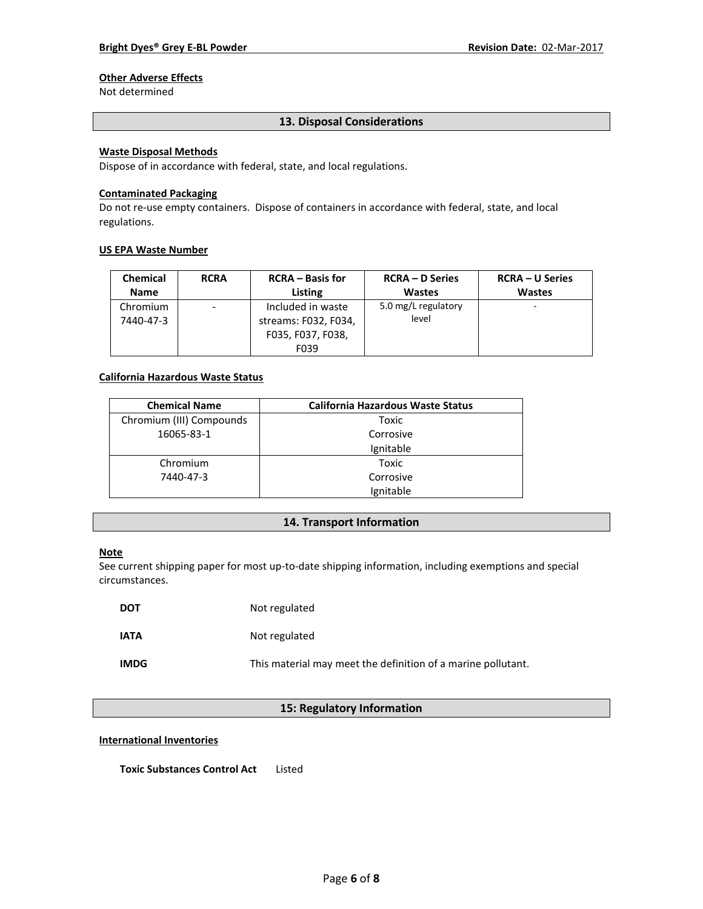## **Other Adverse Effects**

Not determined

### **13. Disposal Considerations**

## **Waste Disposal Methods**

Dispose of in accordance with federal, state, and local regulations.

#### **Contaminated Packaging**

Do not re-use empty containers.Dispose of containers in accordance with federal, state, and local regulations.

#### **US EPA Waste Number**

| <b>Chemical</b>       | <b>RCRA</b> | <b>RCRA</b> – Basis for                                                | <b>RCRA – D Series</b>       | <b>RCRA – U Series</b> |
|-----------------------|-------------|------------------------------------------------------------------------|------------------------------|------------------------|
| <b>Name</b>           |             | Listing                                                                | <b>Wastes</b>                | <b>Wastes</b>          |
| Chromium<br>7440-47-3 | -           | Included in waste<br>streams: F032, F034,<br>F035, F037, F038,<br>F039 | 5.0 mg/L regulatory<br>level |                        |

## **California Hazardous Waste Status**

| <b>Chemical Name</b>     | <b>California Hazardous Waste Status</b> |  |
|--------------------------|------------------------------------------|--|
| Chromium (III) Compounds | Toxic                                    |  |
| 16065-83-1               | Corrosive                                |  |
|                          | Ignitable                                |  |
| Chromium                 | Toxic                                    |  |
| 7440-47-3                | Corrosive                                |  |
|                          | Ignitable                                |  |

## **14. Transport Information**

#### **Note**

See current shipping paper for most up-to-date shipping information, including exemptions and special circumstances.

| <b>DOT</b>  | Not regulated                                                |
|-------------|--------------------------------------------------------------|
| <b>IATA</b> | Not regulated                                                |
| <b>IMDG</b> | This material may meet the definition of a marine pollutant. |

## **15: Regulatory Information**

#### **International Inventories**

**Toxic Substances Control Act** Listed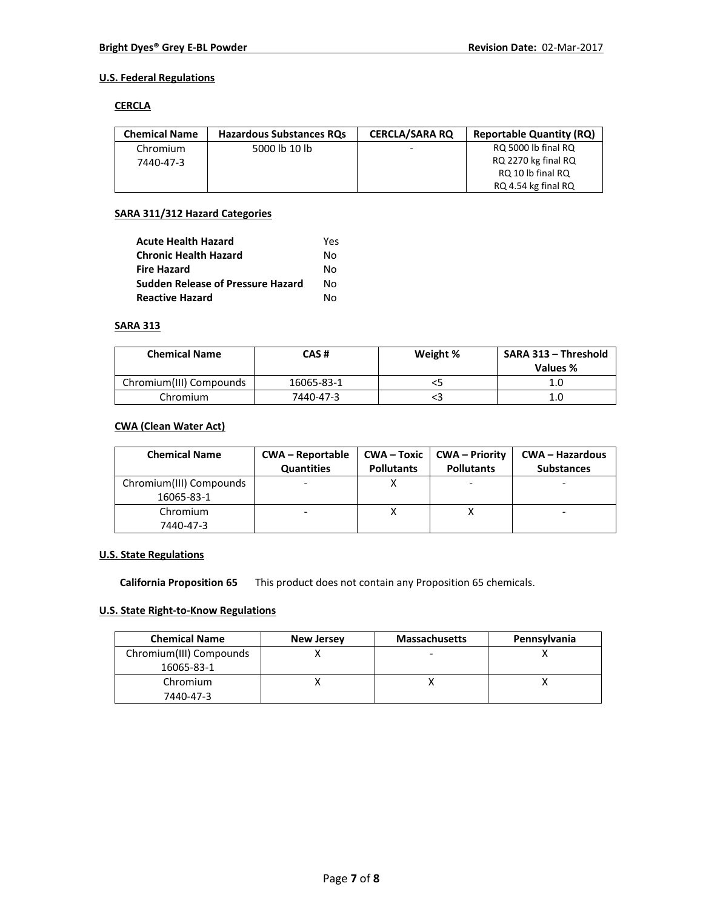## **U.S. Federal Regulations**

#### **CERCLA**

| <b>Chemical Name</b> | <b>Hazardous Substances ROs</b> | <b>CERCLA/SARA RO</b> | <b>Reportable Quantity (RQ)</b> |
|----------------------|---------------------------------|-----------------------|---------------------------------|
| Chromium             | 5000 lb 10 lb                   | -                     | RQ 5000 lb final RQ             |
| 7440-47-3            |                                 |                       | RQ 2270 kg final RQ             |
|                      |                                 |                       | RQ 10 lb final RQ               |
|                      |                                 |                       | RQ 4.54 kg final RQ             |

## **SARA 311/312 Hazard Categories**

| <b>Acute Health Hazard</b>               | Yes |
|------------------------------------------|-----|
| <b>Chronic Health Hazard</b>             | N٥  |
| <b>Fire Hazard</b>                       | N٥  |
| <b>Sudden Release of Pressure Hazard</b> | N٥  |
| <b>Reactive Hazard</b>                   | N٥  |

## **SARA 313**

| <b>Chemical Name</b>    | CAS#       | Weight % | SARA 313 - Threshold<br>Values % |
|-------------------------|------------|----------|----------------------------------|
| Chromium(III) Compounds | 16065-83-1 |          | 1.0                              |
| Chromium                | 7440-47-3  |          | 1.0                              |

## **CWA (Clean Water Act)**

| <b>Chemical Name</b>    | <b>CWA - Reportable</b><br><b>Quantities</b> | $CWA - Toxic$<br><b>Pollutants</b> | CWA – Priority<br><b>Pollutants</b> | <b>CWA - Hazardous</b><br><b>Substances</b> |
|-------------------------|----------------------------------------------|------------------------------------|-------------------------------------|---------------------------------------------|
| Chromium(III) Compounds |                                              |                                    |                                     |                                             |
| 16065-83-1              |                                              |                                    |                                     |                                             |
| Chromium                |                                              |                                    |                                     |                                             |
| 7440-47-3               |                                              |                                    |                                     |                                             |

## **U.S. State Regulations**

**California Proposition 65** This product does not contain any Proposition 65 chemicals.

## **U.S. State Right-to-Know Regulations**

| <b>Chemical Name</b>    | <b>New Jersey</b> | <b>Massachusetts</b>     | Pennsylvania |
|-------------------------|-------------------|--------------------------|--------------|
| Chromium(III) Compounds |                   | $\overline{\phantom{0}}$ |              |
| 16065-83-1              |                   |                          |              |
| Chromium                |                   |                          |              |
| 7440-47-3               |                   |                          |              |